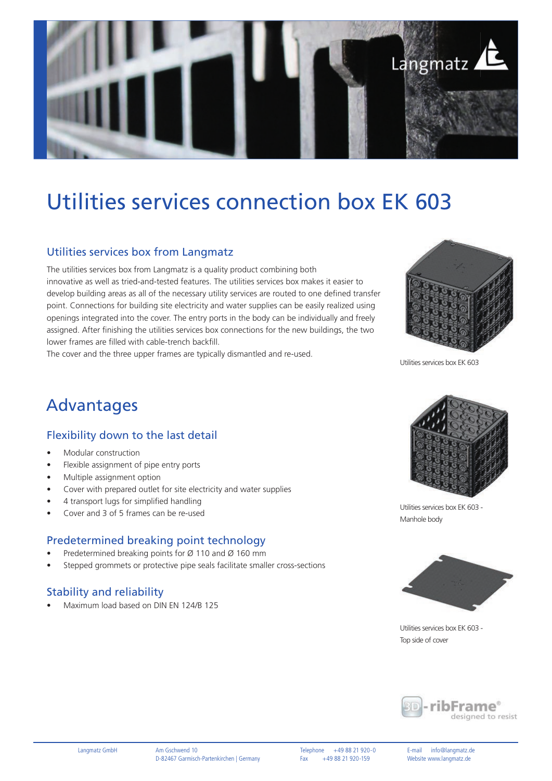

# Utilities services connection box EK 603

#### Utilities services box from Langmatz

The utilities services box from Langmatz is a quality product combining both innovative as well as tried-and-tested features. The utilities services box makes it easier to develop building areas as all of the necessary utility services are routed to one defined transfer point. Connections for building site electricity and water supplies can be easily realized using openings integrated into the cover. The entry ports in the body can be individually and freely assigned. After finishing the utilities services box connections for the new buildings, the two lower frames are filled with cable-trench backfill.

The cover and the three upper frames are typically dismantled and re-used.



Utilities services box EK 603

### Advantages

#### Flexibility down to the last detail

- Modular construction
- Flexible assignment of pipe entry ports
- Multiple assignment option
- Cover with prepared outlet for site electricity and water supplies
- 4 transport lugs for simplified handling
- Cover and 3 of 5 frames can be re-used

#### Predetermined breaking point technology

- Predetermined breaking points for Ø 110 and Ø 160 mm
- Stepped grommets or protective pipe seals facilitate smaller cross-sections

#### Stability and reliability

• Maximum load based on DIN EN 124/B 125



Utilities services box EK 603 - Manhole body



Utilities services box EK 603 - Top side of cover